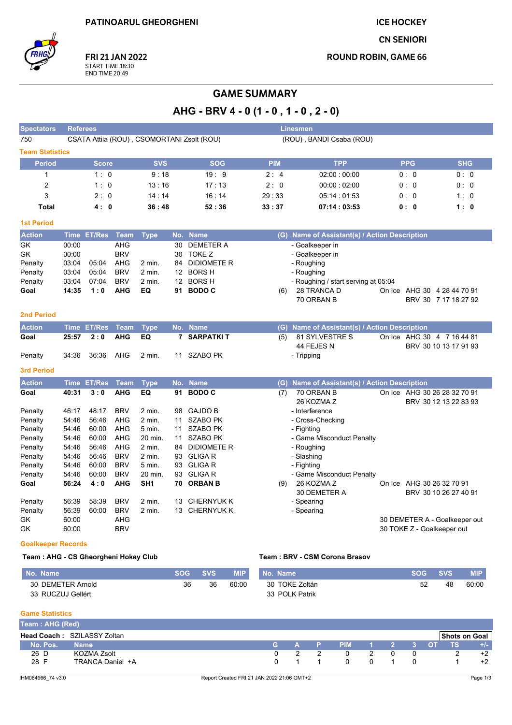**ICE HOCKEY** 

**CN SENIORI** 

**ROUND ROBIN, GAME 66** 



**FRI 21 JAN 2022** START TIME 18:30<br>END TIME 20:49

## **GAME SUMMARY**

AHG - BRV 4 - 0 (1 - 0, 1 - 0, 2 - 0)

| <b>Spectators</b>      | <b>Referees</b> |                |                          |                    |                  |                                            |            | <b>Linesmen</b>                           |                            |                               |
|------------------------|-----------------|----------------|--------------------------|--------------------|------------------|--------------------------------------------|------------|-------------------------------------------|----------------------------|-------------------------------|
| 750                    |                 |                |                          |                    |                  | CSATA Attila (ROU), CSOMORTANI Zsolt (ROU) |            | (ROU), BANDI Csaba (ROU)                  |                            |                               |
| <b>Team Statistics</b> |                 |                |                          |                    |                  |                                            |            |                                           |                            |                               |
| <b>Period</b>          |                 | <b>Score</b>   |                          | <b>SVS</b>         |                  | <b>SOG</b>                                 | <b>PIM</b> | <b>TPP</b>                                | <b>PPG</b>                 | <b>SHG</b>                    |
| $\mathbf{1}$           |                 | 1:0            |                          | 9:18               |                  | 19:9                                       | 2:4        | 02:00:00:00                               | 0:0                        | 0:0                           |
| $\overline{2}$         |                 | 1:0            |                          | 13:16              |                  | 17:13                                      | 2:0        | 00:00:02:00                               | 0:0                        | 0: 0                          |
| 3                      |                 | 2:0            |                          | 14:14              |                  | 16:14                                      | 29:33      | 05:14:01:53                               | 0:0                        | 1:0                           |
| <b>Total</b>           |                 | 4:0            |                          | 36:48              |                  | 52:36                                      | 33:37      | 07:14:03:53                               | 0: 0                       | 1:0                           |
| <b>1st Period</b>      |                 |                |                          |                    |                  |                                            |            |                                           |                            |                               |
| <b>Action</b>          | <b>Time</b>     | <b>ET/Res</b>  | <b>Team</b>              | <b>Type</b>        | No.              | <b>Name</b>                                | (G)        | Name of Assistant(s) / Action Description |                            |                               |
| GK                     | 00:00           |                | <b>AHG</b>               |                    | 30               | <b>DEMETER A</b>                           |            | - Goalkeeper in                           |                            |                               |
| GK                     | 00:00           |                | <b>BRV</b>               |                    | 30               | TOKE Z                                     |            | - Goalkeeper in                           |                            |                               |
| Penalty                | 03:04           | 05:04          | AHG                      | 2 min.             | 84               | <b>DIDIOMETE R</b>                         |            | - Roughing                                |                            |                               |
| Penalty                | 03:04           | 05:04          | <b>BRV</b>               | $2$ min.           |                  | 12 BORS H                                  |            | - Roughing                                |                            |                               |
| Penalty                | 03:04           | 07:04          | <b>BRV</b>               | 2 min.             | 12 <sup>12</sup> | <b>BORSH</b>                               |            | - Roughing / start serving at 05:04       |                            |                               |
| Goal                   | 14:35           | 1:0            | <b>AHG</b>               | EQ                 | 91               | <b>BODO C</b>                              | (6)        | 28 TRANCA D                               |                            | On Ice AHG 30 4 28 44 70 91   |
|                        |                 |                |                          |                    |                  |                                            |            | 70 ORBAN B                                |                            | BRV 30 7 17 18 27 92          |
| 2nd Period             |                 |                |                          |                    |                  |                                            |            |                                           |                            |                               |
| <b>Action</b>          |                 | Time ET/Res    | <b>Team</b>              | <b>Type</b>        |                  | No. Name                                   | (G)        | Name of Assistant(s) / Action Description |                            |                               |
| Goal                   | 25:57           | 2:0            | <b>AHG</b>               | EQ                 | 7                | <b>SARPATKIT</b>                           | (5)        | 81 SYLVESTRE S                            |                            | On Ice AHG 30 4 7 16 44 81    |
|                        |                 |                |                          |                    |                  |                                            |            | 44 FEJES N                                |                            | BRV 30 10 13 17 91 93         |
| Penalty                | 34:36           | 36:36          | <b>AHG</b>               | 2 min.             |                  | 11 SZABO PK                                |            | - Tripping                                |                            |                               |
| <b>3rd Period</b>      |                 |                |                          |                    |                  |                                            |            |                                           |                            |                               |
| <b>Action</b>          |                 | Time ET/Res    | <b>Team</b>              | <b>Type</b>        |                  | No. Name                                   | (G)        | Name of Assistant(s) / Action Description |                            |                               |
| Goal                   | 40:31           | 3:0            | <b>AHG</b>               | EQ                 | 91               | <b>BODO C</b>                              | (7)        | 70 ORBAN B                                |                            | On Ice AHG 30 26 28 32 70 91  |
|                        |                 |                |                          |                    |                  |                                            |            | 26 KOZMA Z                                |                            | BRV 30 12 13 22 83 93         |
| Penalty<br>Penalty     | 46:17<br>54:46  | 48:17<br>56:46 | <b>BRV</b><br><b>AHG</b> | 2 min.<br>$2$ min. | 98<br>11         | <b>GAJDO B</b><br><b>SZABO PK</b>          |            | - Interference<br>- Cross-Checking        |                            |                               |
| Penalty                | 54:46           | 60:00          | AHG                      | 5 min.             | 11               | <b>SZABO PK</b>                            |            | - Fighting                                |                            |                               |
| Penalty                | 54:46           | 60:00          | AHG                      | 20 min.            | 11               | <b>SZABO PK</b>                            |            | - Game Misconduct Penalty                 |                            |                               |
| Penalty                | 54:46           | 56:46          | <b>AHG</b>               | 2 min.             | 84               | <b>DIDIOMETER</b>                          |            | - Roughing                                |                            |                               |
| Penalty                | 54:46           | 56:46          | <b>BRV</b>               | $2$ min.           | 93               | <b>GLIGAR</b>                              |            | - Slashing                                |                            |                               |
| Penalty                | 54:46           | 60:00          | <b>BRV</b>               | 5 min.             | 93               | <b>GLIGAR</b>                              |            | - Fighting                                |                            |                               |
| Penalty                | 54:46           | 60:00          | <b>BRV</b>               | 20 min.            | 93               | <b>GLIGAR</b>                              |            | - Game Misconduct Penalty                 |                            |                               |
| Goal                   | 56:24           | 4:0            | <b>AHG</b>               | SH <sub>1</sub>    |                  | 70 ORBAN B                                 | (9)        | 26 KOZMA Z<br>30 DEMETER A                | On Ice AHG 30 26 32 70 91  | BRV 30 10 26 27 40 91         |
| Penalty                | 56:39           | 58:39          | <b>BRV</b>               | 2 min.             | 13               | <b>CHERNYUK K</b>                          |            | - Spearing                                |                            |                               |
| Penalty                | 56:39           | 60:00          | <b>BRV</b>               | $2$ min.           | 13               | <b>CHERNYUK K</b>                          |            | - Spearing                                |                            |                               |
| GK                     | 60:00           |                | AHG                      |                    |                  |                                            |            |                                           |                            | 30 DEMETER A - Goalkeeper out |
| GK                     | 60:00           |                | <b>BRV</b>               |                    |                  |                                            |            |                                           | 30 TOKE Z - Goalkeeper out |                               |

#### **Goalkeeper Records**

Team: AHG - CS Gheorgheni Hokey Club

#### Team: BRV - CSM Corona Brasov

| No. Name          | <b>SOG</b> | <b>SVS</b> | <b>MIP</b> | No. Name       | $\sim$ SOG $\sim$ | <b>SVS</b> | <b>MIP</b> |
|-------------------|------------|------------|------------|----------------|-------------------|------------|------------|
| 30 DEMETER Arnold | 36         | 36         | 60:00      | 30 TOKE Zoltán |                   | 48         | 60:00      |
| 33 RUCZUJ Gellért |            |            |            | 33 POLK Patrik |                   |            |            |

#### **Game Statistics**

| Team: AHG (Red) |                                    |          |  |                  |  |  |                      |      |
|-----------------|------------------------------------|----------|--|------------------|--|--|----------------------|------|
|                 | <b>Head Coach: SZILASSY Zoltan</b> |          |  |                  |  |  | <b>Shots on Goal</b> |      |
| No. Pos.        | <b>Name</b>                        | <b>G</b> |  | A P PIM 1 2 3 OT |  |  | TS.                  | +/-  |
| 26 D            | KOZMA Zsolt                        |          |  |                  |  |  |                      | $+2$ |
| 28 F            | TRANCA Daniel +A                   |          |  |                  |  |  |                      | +2   |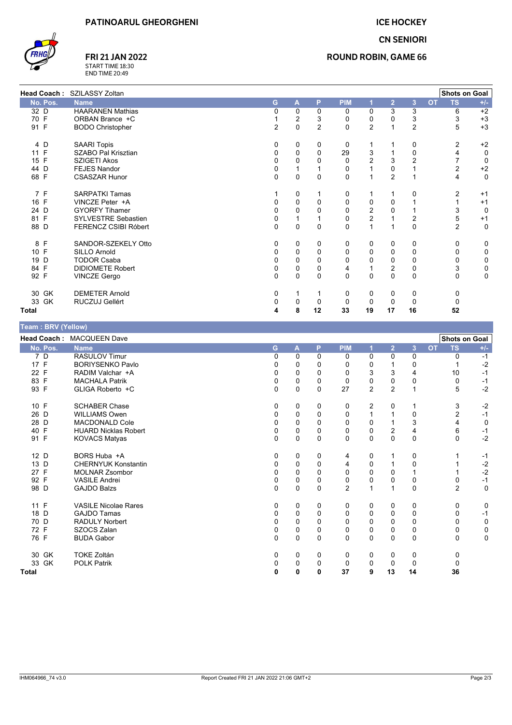**ICE HOCKEY CN SENIORI** 



# **FRI 21 JAN 2022**

START TIME 18:30<br>END TIME 20:49

### **ROUND ROBIN, GAME 66**

| <b>Head Coach:</b> | SZILASSY Zoltan         |          |                |                |            |                |                |                |           | <b>Shots on Goal</b> |             |
|--------------------|-------------------------|----------|----------------|----------------|------------|----------------|----------------|----------------|-----------|----------------------|-------------|
| No. Pos.           | <b>Name</b>             | G        | A              | P              | <b>PIM</b> |                | $\overline{2}$ | $\overline{3}$ | <b>OT</b> | <b>TS</b>            | $+/-$       |
| 32 D               | <b>HAARANEN Mathias</b> | 0        | $\mathbf 0$    | $\mathbf 0$    | 0          | 0              | 3              | 3              |           | 6                    | $+2$        |
| 70 F               | ORBAN Brance +C         |          | $\overline{c}$ | 3              | 0          | 0              | 0              | 3              |           | 3                    | $+3$        |
| 91 F               | <b>BODO Christopher</b> | 2        | $\mathbf 0$    | $\overline{2}$ | 0          | 2              |                | 2              |           | 5                    | $+3$        |
| 4 D                | <b>SAARI Topis</b>      | $\Omega$ | 0              | 0              | 0          |                |                | 0              |           | 2                    | $+2$        |
| 11 F               | SZABO Pal Krisztian     |          | $\mathbf 0$    | 0              | 29         | 3              |                | 0              |           |                      | 0           |
| 15 F               | SZIGETI Akos            |          | $\mathbf 0$    | 0              | 0          | $\overline{2}$ | 3              | 2              |           | 7                    | 0           |
| 44 D               | <b>FEJES Nandor</b>     | 0        |                |                | 0          |                | 0              |                |           | $\overline{c}$       | $+2$        |
| 68 F               | <b>CSASZAR Hunor</b>    | $\Omega$ | $\mathbf 0$    | 0              | 0          |                | $\overline{2}$ |                |           | 4                    | 0           |
| 7 F                | <b>SARPATKI Tamas</b>   |          | 0              |                | 0          |                |                | $\Omega$       |           | 2                    | $+1$        |
| 16 F               | VINCZE Peter +A         | 0        | 0              | 0              | 0          | 0              | 0              |                |           |                      | $+1$        |
| 24 D               | <b>GYORFY Tihamer</b>   |          | $\Omega$       | 0              | 0          | $\overline{c}$ |                |                |           | 3                    | $\mathbf 0$ |
| 81 F               | SYLVESTRE Sebastien     |          |                |                | 0          | 2              |                | 2              |           | 5                    | $+1$        |
| 88 D               | FERENCZ CSIBI Róbert    | 0        | $\mathbf 0$    | $\mathbf 0$    | 0          | 1              |                | $\mathbf 0$    |           | $\overline{2}$       | 0           |
| 8<br>F             | SANDOR-SZEKELY Otto     | 0        | 0              | 0              | 0          | 0              | 0              | 0              |           | 0                    | 0           |
| 10 F               | <b>SILLO Arnold</b>     | O        | $\mathbf 0$    | $\Omega$       | 0          | 0              | 0              | 0              |           | $\Omega$             | 0           |
| 19 D               | <b>TODOR Csaba</b>      |          | 0              | 0              | 0          | 0              | 0              | $\Omega$       |           | 0                    | 0           |
| 84 F               | <b>DIDIOMETE Robert</b> | 0        | 0              | 0              | 4          |                | $\overline{c}$ | 0              |           | 3                    | 0           |
| 92 F               | <b>VINCZE Gergo</b>     | $\Omega$ | $\mathbf 0$    | $\mathbf 0$    | 0          | $\mathbf 0$    | $\mathbf{0}$   | $\mathbf{0}$   |           | $\mathbf 0$          | 0           |
| 30 GK              | <b>DEMETER Arnold</b>   | 0        |                |                | 0          | 0              | 0              | 0              |           | 0                    |             |
| 33<br>GK           | RUCZUJ Gellért          |          | $\Omega$       | 0              | 0          | 0              | 0              | $\Omega$       |           |                      |             |
| Total              |                         |          | 8              | 12             | 33         | 19             | 17             | 16             |           | 52                   |             |

| Team: BRV (Yellow) |  |  |
|--------------------|--|--|

| $1$ valit . Dive (1 vilow) |                             |          |          |              |                |                |                |                |           |                      |              |
|----------------------------|-----------------------------|----------|----------|--------------|----------------|----------------|----------------|----------------|-----------|----------------------|--------------|
|                            | Head Coach: MACQUEEN Dave   |          |          |              |                |                |                |                |           | <b>Shots on Goal</b> |              |
| No. Pos.                   | <b>Name</b>                 | G        | A        | P            | <b>PIM</b>     |                | $\overline{2}$ | $\overline{3}$ | <b>OT</b> | <b>TS</b>            | $+/-$        |
| 7 D                        | <b>RASULOV Timur</b>        | 0        | $\Omega$ | $\Omega$     | 0              | 0              | $\Omega$       | 0              |           | $\Omega$             | $-1$         |
| 17 F                       | <b>BORIYSENKO Pavlo</b>     | 0        | 0        | $\Omega$     | 0              | 0              |                | 0              |           |                      | $-2$         |
| 22 F                       | RADIM Valchar +A            | $\Omega$ | 0        | $\Omega$     | $\mathbf 0$    | $\mathsf 3$    | 3              | $\overline{4}$ |           | 10                   | $-1$         |
| 83 F                       | <b>MACHALA Patrik</b>       | $\Omega$ | 0        | $\Omega$     | $\Omega$       | 0              | 0              | $\mathbf 0$    |           | 0                    | $-1$         |
| 93 F                       | GLIGA Roberto +C            | $\Omega$ | 0        | $\mathbf{0}$ | 27             | $\overline{2}$ | $\overline{2}$ | 1              |           | 5                    | $-2$         |
| 10 F                       | <b>SCHABER Chase</b>        | 0        | 0        | 0            | 0              | 2              | 0              |                |           | 3                    | $-2$         |
| 26 D                       | <b>WILLIAMS Owen</b>        | $\Omega$ | 0        | $\mathbf{0}$ | $\mathbf 0$    | $\mathbf{1}$   |                | $\mathbf 0$    |           | $\overline{2}$       | $-1$         |
| 28 D                       | <b>MACDONALD Cole</b>       | $\Omega$ | 0        | $\Omega$     | $\mathbf 0$    | 0              |                | 3              |           | 4                    | 0            |
| 40 F                       | <b>HUARD Nicklas Robert</b> | 0        | 0        | 0            | 0              | 0              | 2              | 4              |           | 6                    | $-1$         |
| 91 F                       | <b>KOVACS Matyas</b>        | $\Omega$ | 0        | $\mathbf{0}$ | $\Omega$       | $\Omega$       | $\Omega$       | $\mathbf 0$    |           | $\Omega$             | $-2$         |
| 12 D                       | BORS Huba +A                | 0        | 0        | 0            | 4              | 0              |                | $\mathbf 0$    |           |                      | $-1$         |
| 13 D                       | <b>CHERNYUK Konstantin</b>  | 0        | 0        | 0            | 4              | 0              |                | 0              |           |                      | $-2$<br>$-2$ |
| 27 F                       | <b>MOLNAR Zsombor</b>       | $\Omega$ | $\Omega$ | $\Omega$     | $\Omega$       | $\Omega$       | $\Omega$       | $\mathbf 1$    |           |                      |              |
| 92 F                       | <b>VASILE Andrei</b>        | 0        | 0        | $\Omega$     | $\mathbf 0$    | 0              | 0              | 0              |           | 0                    | $-1$         |
| 98 D                       | <b>GAJDO Balzs</b>          | $\Omega$ | 0        | $\mathbf{0}$ | $\overline{2}$ | $\mathbf 1$    |                | $\mathbf 0$    |           | $\overline{2}$       | $\mathbf 0$  |
| 11 F                       | <b>VASILE Nicolae Rares</b> | 0        | 0        | $\Omega$     | 0              | 0              | 0              | 0              |           | 0                    | 0            |
| 18 D                       | <b>GAJDO Tamas</b>          | 0        | 0        | $\Omega$     | $\mathbf 0$    | 0              | $\Omega$       | $\mathbf 0$    |           | 0                    | $-1$         |
| 70 D                       | <b>RADULY Norbert</b>       | $\Omega$ | $\Omega$ | $\Omega$     | $\Omega$       | $\Omega$       | $\Omega$       | $\mathbf 0$    |           | $\Omega$             | 0            |
| 72 F                       | SZOCS Zalan                 | 0        | 0        | 0            | 0              | 0              | 0              | 0              |           | 0                    | 0            |
| 76 F                       | <b>BUDA Gabor</b>           | $\Omega$ | 0        | $\mathbf{0}$ | $\Omega$       | $\Omega$       | $\Omega$       | $\Omega$       |           | $\Omega$             | $\mathbf 0$  |
| 30 GK                      | <b>TOKE Zoltán</b>          | 0        | 0        | 0            | 0              | 0              | 0              | 0              |           | 0                    |              |
| 33 GK                      | <b>POLK Patrik</b>          | 0        | 0        | $\Omega$     | 0              | 0              | 0              | $\mathbf 0$    |           | 0                    |              |
| <b>Total</b>               |                             | 0        | 0        | 0            | 37             | 9              | 13             | 14             |           | 36                   |              |